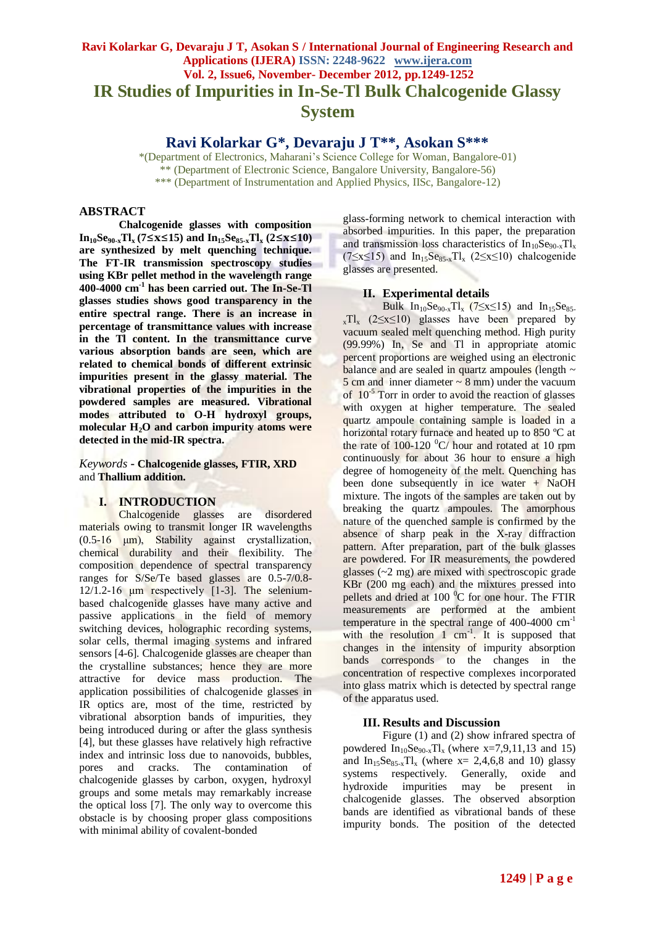# **Ravi Kolarkar G, Devaraju J T, Asokan S / International Journal of Engineering Research and Applications (IJERA) ISSN: 2248-9622 www.ijera.com Vol. 2, Issue6, November- December 2012, pp.1249-1252 IR Studies of Impurities in In-Se-Tl Bulk Chalcogenide Glassy System**

**Ravi Kolarkar G\*, Devaraju J T\*\*, Asokan S\*\*\***

\*(Department of Electronics, Maharani's Science College for Woman, Bangalore-01) \*\* (Department of Electronic Science, Bangalore University, Bangalore-56) \*\*\* (Department of Instrumentation and Applied Physics, IISc, Bangalore-12)

#### **ABSTRACT**

**Chalcogenide glasses with composition In10Se90-xTlx (7≤x≤15) and In15Se85-xTl<sup>x</sup> (2≤x≤10) are synthesized by melt quenching technique. The FT-IR transmission spectroscopy studies using KBr pellet method in the wavelength range 400-4000 cm-1 has been carried out. The In-Se-Tl glasses studies shows good transparency in the entire spectral range. There is an increase in percentage of transmittance values with increase in the Tl content. In the transmittance curve various absorption bands are seen, which are related to chemical bonds of different extrinsic impurities present in the glassy material. The vibrational properties of the impurities in the powdered samples are measured. Vibrational modes attributed to O-H hydroxyl groups, molecular H2O and carbon impurity atoms were detected in the mid-IR spectra.**

*Keywords* **- Chalcogenide glasses, FTIR, XRD** and **Thallium addition.**

# **I. INTRODUCTION**

Chalcogenide glasses are disordered materials owing to transmit longer IR wavelengths (0.5-16 μm), Stability against crystallization, chemical durability and their flexibility. The composition dependence of spectral transparency ranges for S/Se/Te based glasses are 0.5-7/0.8-  $12/1.2-16$  μm respectively [1-3]. The seleniumbased chalcogenide glasses have many active and passive applications in the field of memory switching devices, holographic recording systems, solar cells, thermal imaging systems and infrared sensors [4-6]. Chalcogenide glasses are cheaper than the crystalline substances; hence they are more attractive for device mass production. The application possibilities of chalcogenide glasses in IR optics are, most of the time, restricted by vibrational absorption bands of impurities, they being introduced during or after the glass synthesis [4], but these glasses have relatively high refractive index and intrinsic loss due to nanovoids, bubbles, pores and cracks. The contamination of chalcogenide glasses by carbon, oxygen, hydroxyl groups and some metals may remarkably increase the optical loss [7]. The only way to overcome this obstacle is by choosing proper glass compositions with minimal ability of covalent-bonded

glass-forming network to chemical interaction with absorbed impurities. In this paper, the preparation and transmission loss characteristics of  $In_{10}Se_{90-x}Tl_{x}$  $(7\le x \le 15)$  and  $In<sub>15</sub>Se<sub>85-x</sub>TI<sub>x</sub>$  (2 $\le x \le 10$ ) chalcogenide glasses are presented.

# **II. Experimental details**

Bulk  $In_{10}Se_{90-x}Tl_{x}$  (7≤x≤15) and  $In_{15}Se_{85-x}$  $xTl_x$  (2  $\leq x \leq 10$ ) glasses have been prepared by vacuum sealed melt quenching method. High purity (99.99%) In, Se and Tl in appropriate atomic percent proportions are weighed using an electronic balance and are sealed in quartz ampoules (length  $\sim$  $5 \text{ cm}$  and inner diameter  $\sim 8 \text{ mm}$ ) under the vacuum of  $10^{-5}$  Torr in order to avoid the reaction of glasses with oxygen at higher temperature. The sealed quartz ampoule containing sample is loaded in a horizontal rotary furnace and heated up to 850 °C at the rate of  $100-120$   $\mathrm{°C/}$  hour and rotated at 10 rpm continuously for about 36 hour to ensure a high degree of homogeneity of the melt. Quenching has been done subsequently in ice water + NaOH mixture. The ingots of the samples are taken out by breaking the quartz ampoules. The amorphous nature of the quenched sample is confirmed by the absence of sharp peak in the X-ray diffraction pattern. After preparation, part of the bulk glasses are powdered. For IR measurements, the powdered glasses (~2 mg) are mixed with spectroscopic grade KBr (200 mg each) and the mixtures pressed into pellets and dried at  $100<sup>0</sup>C$  for one hour. The FTIR measurements are performed at the ambient temperature in the spectral range of  $400-4000$  cm<sup>-1</sup> with the resolution  $1 \text{ cm}^{-1}$ . It is supposed that changes in the intensity of impurity absorption bands corresponds to the changes in the concentration of respective complexes incorporated into glass matrix which is detected by spectral range of the apparatus used.

# **III. Results and Discussion**

Figure (1) and (2) show infrared spectra of powdered  $In_{10}Se_{90-x}Tl_{x}$  (where x=7,9,11,13 and 15) and  $In<sub>15</sub>Se<sub>85-x</sub>TI<sub>x</sub>$  (where  $x= 2,4,6,8$  and 10) glassy systems respectively. Generally, oxide and hydroxide impurities may be present in chalcogenide glasses. The observed absorption bands are identified as vibrational bands of these impurity bonds. The position of the detected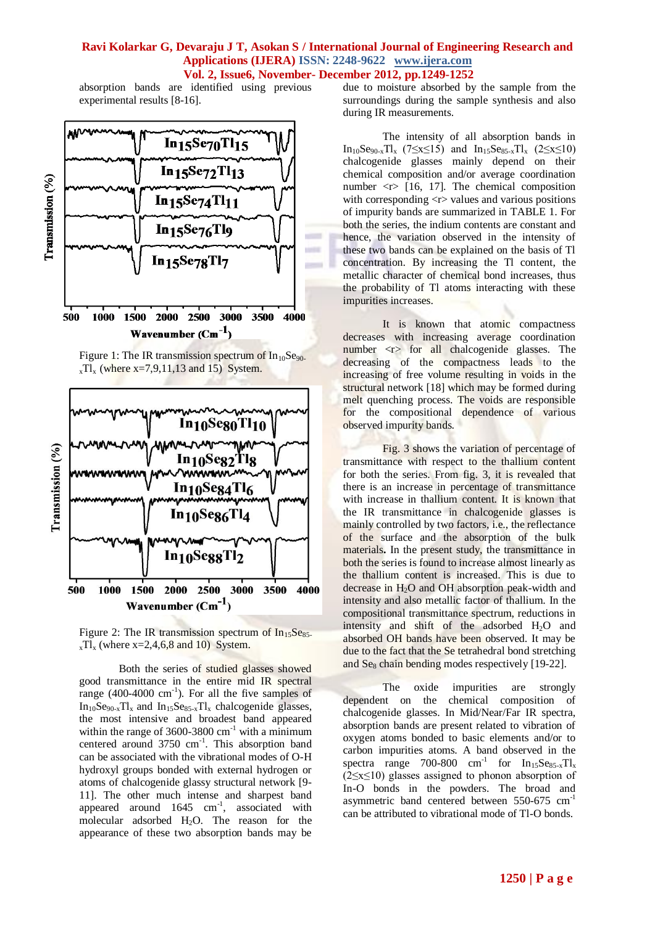#### **Ravi Kolarkar G, Devaraju J T, Asokan S / International Journal of Engineering Research and Applications (IJERA) ISSN: 2248-9622 www.ijera.com Vol. 2, Issue6, November- December 2012, pp.1249-1252**

absorption bands are identified using previous experimental results [8-16].









Both the series of studied glasses showed good transmittance in the entire mid IR spectral range  $(400-4000 \text{ cm}^{-1})$ . For all the five samples of  $In_{10}Se_{90-x}Tl_{x}$  and  $In_{15}Se_{85-x}Tl_{x}$  chalcogenide glasses, the most intensive and broadest band appeared within the range of  $3600-3800$  cm<sup>-1</sup> with a minimum centered around 3750 cm<sup>-1</sup>. This absorption band can be associated with the vibrational modes of O-H hydroxyl groups bonded with external hydrogen or atoms of chalcogenide glassy structural network [9- 11]. The other much intense and sharpest band appeared around  $1645$   $cm^{-1}$ , associated with molecular adsorbed  $H_2O$ . The reason for the appearance of these two absorption bands may be due to moisture absorbed by the sample from the surroundings during the sample synthesis and also during IR measurements.

The intensity of all absorption bands in In<sub>10</sub>Se<sub>90-x</sub>Tl<sub>x</sub> (7≤x≤15) and In<sub>15</sub>Se<sub>85-x</sub>Tl<sub>x</sub> (2≤x≤10) chalcogenide glasses mainly depend on their chemical composition and/or average coordination number  $\langle r \rangle$  [16, 17]. The chemical composition with corresponding  $\langle r \rangle$  values and various positions of impurity bands are summarized in TABLE 1. For both the series, the indium contents are constant and hence, the variation observed in the intensity of these two bands can be explained on the basis of Tl concentration. By increasing the Tl content, the metallic character of chemical bond increases, thus the probability of Tl atoms interacting with these impurities increases.

It is known that atomic compactness decreases with increasing average coordination number  $\langle r \rangle$  for all chalcogenide glasses. The decreasing of the compactness leads to the increasing of free volume resulting in voids in the structural network [18] which may be formed during melt quenching process. The voids are responsible for the compositional dependence of various observed impurity bands.

Fig. 3 shows the variation of percentage of transmittance with respect to the thallium content for both the series. From fig. 3, it is revealed that there is an increase in percentage of transmittance with increase in thallium content. It is known that the IR transmittance in chalcogenide glasses is mainly controlled by two factors, i.e., the reflectance of the surface and the absorption of the bulk materials**.** In the present study, the transmittance in both the series is found to increase almost linearly as the thallium content is increased. This is due to decrease in  $H<sub>2</sub>O$  and OH absorption peak-width and intensity and also metallic factor of thallium. In the compositional transmittance spectrum, reductions in intensity and shift of the adsorbed H<sub>2</sub>O and absorbed OH bands have been observed. It may be due to the fact that the Se tetrahedral bond stretching and  $Se_8$  chain bending modes respectively [19-22].

The oxide impurities are strongly dependent on the chemical composition of chalcogenide glasses. In Mid/Near/Far IR spectra, absorption bands are present related to vibration of oxygen atoms bonded to basic elements and/or to carbon impurities atoms. A band observed in the spectra range 700-800 cm<sup>-1</sup> for  $In_{15}Se_{85-x}Tl_{x}$  $(2 \le x \le 10)$  glasses assigned to phonon absorption of In-O bonds in the powders. The broad and asymmetric band centered between 550-675 cm-1 can be attributed to vibrational mode of Tl-O bonds.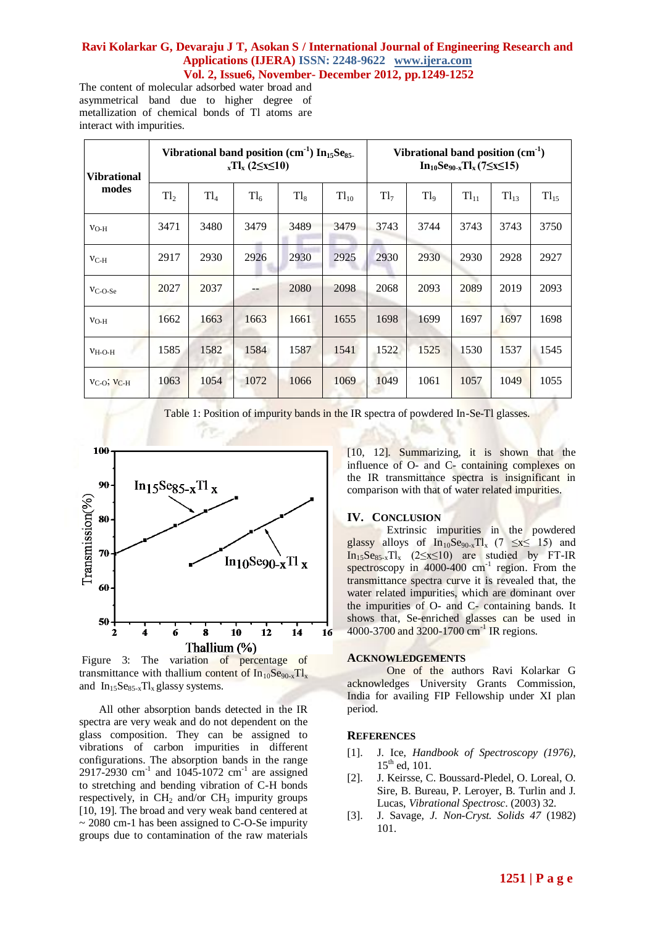# **Ravi Kolarkar G, Devaraju J T, Asokan S / International Journal of Engineering Research and Applications (IJERA) ISSN: 2248-9622 www.ijera.com Vol. 2, Issue6, November- December 2012, pp.1249-1252**

The content of molecular adsorbed water broad and asymmetrical band due to higher degree of metallization of chemical bonds of Tl atoms are interact with impurities.

| <b>Vibrational</b><br>modes | Vibrational band position $(cm-1) In15Se85$ .<br>$_{x}TI_{x}$ (2 \(2 \(2 \) |        |                 |        |           | Vibrational band position $(cm-1)$<br>$In_{10}Se_{90-x}Tl_{x}$ (7 $\leq$ x $\leq$ 15) |                 |                  |           |           |
|-----------------------------|-----------------------------------------------------------------------------|--------|-----------------|--------|-----------|---------------------------------------------------------------------------------------|-----------------|------------------|-----------|-----------|
|                             | Tl <sub>2</sub>                                                             | $Tl_4$ | Tl <sub>6</sub> | $Tl_8$ | $Tl_{10}$ | Tl <sub>7</sub>                                                                       | Tl <sub>9</sub> | TI <sub>11</sub> | $Tl_{13}$ | $Tl_{15}$ |
| $V_{O-H}$                   | 3471                                                                        | 3480   | 3479            | 3489   | 3479      | 3743                                                                                  | 3744            | 3743             | 3743      | 3750      |
| $v_{C-H}$                   | 2917                                                                        | 2930   | 2926            | 2930   | 2925      | 2930                                                                                  | 2930            | 2930             | 2928      | 2927      |
| $V_{C-O-Se}$                | 2027                                                                        | 2037   | $-$             | 2080   | 2098      | 2068                                                                                  | 2093            | 2089             | 2019      | 2093      |
| $V_{O-H}$                   | 1662                                                                        | 1663   | 1663            | 1661   | 1655      | 1698                                                                                  | 1699            | 1697             | 1697      | 1698      |
| $V_{H-O-H}$                 | 1585                                                                        | 1582   | 1584            | 1587   | 1541      | 1522                                                                                  | 1525            | 1530             | 1537      | 1545      |
| $V_{C-O}$ , $V_{C-H}$       | 1063                                                                        | 1054   | 1072            | 1066   | 1069      | 1049                                                                                  | 1061            | 1057             | 1049      | 1055      |

Table 1: Position of impurity bands in the IR spectra of powdered In-Se-Tl glasses.





All other absorption bands detected in the IR spectra are very weak and do not dependent on the glass composition. They can be assigned to vibrations of carbon impurities in different configurations. The absorption bands in the range 2917-2930 cm<sup>-1</sup> and 1045-1072 cm<sup>-1</sup> are assigned to stretching and bending vibration of C-H bonds respectively, in  $CH<sub>2</sub>$  and/or  $CH<sub>3</sub>$  impurity groups [10, 19]. The broad and very weak band centered at  $\sim$  2080 cm-1 has been assigned to C-O-Se impurity groups due to contamination of the raw materials

[10, 12]. Summarizing, it is shown that the influence of O- and C- containing complexes on the IR transmittance spectra is insignificant in comparison with that of water related impurities.

# **IV. CONCLUSION**

Extrinsic impurities in the powdered glassy alloys of  $In_{10}Se_{90-x}Tl_{x}$  (7  $\leq x \leq 15$ ) and  $In_{15}Se_{85-x}Tl_{x}$  (2≤x≤10) are studied by FT-IR spectroscopy in  $4000-400$  cm<sup>-1</sup> region. From the transmittance spectra curve it is revealed that, the water related impurities, which are dominant over the impurities of O- and C- containing bands. It shows that, Se-enriched glasses can be used in 4000-3700 and 3200-1700 cm<sup>-1</sup> IR regions.

#### **ACKNOWLEDGEMENTS**

One of the authors Ravi Kolarkar G acknowledges University Grants Commission, India for availing FIP Fellowship under XI plan period.

#### **REFERENCES**

- [1]. J. Ice, *Handbook of Spectroscopy (1976)*,  $15^{th}$  ed. 101.
- [2]. J. Keirsse, C. Boussard-Pledel, O. Loreal, O. Sire, B. Bureau, P. Leroyer, B. Turlin and J. Lucas, *Vibrational Spectrosc*. (2003) 32.
- [3]. J. Savage*, J. Non-Cryst. Solids 47* (1982) 101.